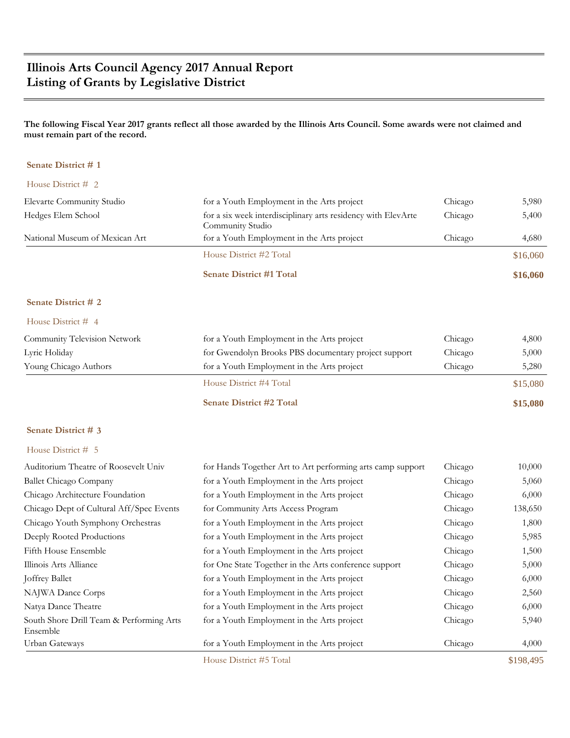# **Illinois Arts Council Agency 2017 Annual Report Listing of Grants by Legislative District**

# **The following Fiscal Year 2017 grants reflect all those awarded by the Illinois Arts Council. Some awards were not claimed and must remain part of the record.**

#### **Senate District # 1**

|                                | <b>Senate District #1 Total</b>                                                   |         | \$16,060 |
|--------------------------------|-----------------------------------------------------------------------------------|---------|----------|
|                                | House District #2 Total                                                           |         | \$16,060 |
| National Museum of Mexican Art | for a Youth Employment in the Arts project                                        | Chicago | 4,680    |
| Hedges Elem School             | for a six week interdisciplinary arts residency with ElevArte<br>Community Studio | Chicago | 5,400    |
| Elevarte Community Studio      | for a Youth Employment in the Arts project                                        | Chicago | 5,980    |
| House District $#2$            |                                                                                   |         |          |

# **Senate District # 2**

#### House District # 4

| 5,280<br>Chicago |
|------------------|
|                  |
| 5,000<br>Chicago |
| 4,800<br>Chicago |
|                  |

| <b>Senate District #2 Total</b><br>\$15,080 |  |
|---------------------------------------------|--|
|---------------------------------------------|--|

#### **Senate District # 3**

#### House District # 5

|                                                      | House District #5 Total                                    |         | \$198,495 |
|------------------------------------------------------|------------------------------------------------------------|---------|-----------|
| Urban Gateways                                       | for a Youth Employment in the Arts project                 | Chicago | 4,000     |
| South Shore Drill Team & Performing Arts<br>Ensemble | for a Youth Employment in the Arts project                 | Chicago | 5,940     |
| Natya Dance Theatre                                  | for a Youth Employment in the Arts project                 | Chicago | 6,000     |
| NAJWA Dance Corps                                    | for a Youth Employment in the Arts project                 | Chicago | 2,560     |
| <b>Joffrey Ballet</b>                                | for a Youth Employment in the Arts project                 | Chicago | 6,000     |
| Illinois Arts Alliance                               | for One State Together in the Arts conference support      | Chicago | 5,000     |
| Fifth House Ensemble                                 | for a Youth Employment in the Arts project                 | Chicago | 1,500     |
| Deeply Rooted Productions                            | for a Youth Employment in the Arts project                 | Chicago | 5,985     |
| Chicago Youth Symphony Orchestras                    | for a Youth Employment in the Arts project                 | Chicago | 1,800     |
| Chicago Dept of Cultural Aff/Spec Events             | for Community Arts Access Program                          | Chicago | 138,650   |
| Chicago Architecture Foundation                      | for a Youth Employment in the Arts project                 | Chicago | 6,000     |
| <b>Ballet Chicago Company</b>                        | for a Youth Employment in the Arts project                 | Chicago | 5,060     |
| Auditorium Theatre of Roosevelt Univ                 | for Hands Together Art to Art performing arts camp support | Chicago | 10,000    |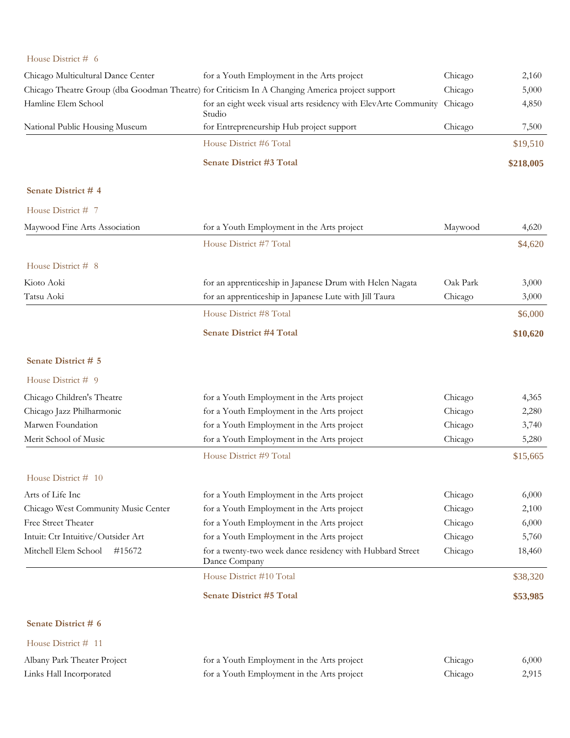# House District # 6

|                                    | <b>Senate District #3 Total</b>                                                                 |         | \$218,005 |
|------------------------------------|-------------------------------------------------------------------------------------------------|---------|-----------|
|                                    | House District #6 Total                                                                         |         | \$19,510  |
| National Public Housing Museum     | for Entrepreneurship Hub project support                                                        | Chicago | 7,500     |
| Hamline Elem School                | for an eight week visual arts residency with ElevArte Community Chicago<br>Studio               |         | 4,850     |
|                                    | Chicago Theatre Group (dba Goodman Theatre) for Criticism In A Changing America project support | Chicago | 5,000     |
| Chicago Multicultural Dance Center | for a Youth Employment in the Arts project                                                      | Chicago | 2,160     |

# **Senate District # 4**

| House District # 7                  |                                                                            |          |          |
|-------------------------------------|----------------------------------------------------------------------------|----------|----------|
| Maywood Fine Arts Association       | for a Youth Employment in the Arts project                                 | Maywood  | 4,620    |
|                                     | House District #7 Total                                                    |          | \$4,620  |
| House District # 8                  |                                                                            |          |          |
| Kioto Aoki                          | for an apprenticeship in Japanese Drum with Helen Nagata                   | Oak Park | 3,000    |
| Tatsu Aoki                          | for an apprenticeship in Japanese Lute with Jill Taura                     | Chicago  | 3,000    |
|                                     | House District #8 Total                                                    |          | \$6,000  |
|                                     | <b>Senate District #4 Total</b>                                            |          | \$10,620 |
| Senate District # 5                 |                                                                            |          |          |
| House District # 9                  |                                                                            |          |          |
| Chicago Children's Theatre          | for a Youth Employment in the Arts project                                 | Chicago  | 4,365    |
| Chicago Jazz Philharmonic           | for a Youth Employment in the Arts project                                 | Chicago  | 2,280    |
| Marwen Foundation                   | for a Youth Employment in the Arts project                                 | Chicago  | 3,740    |
| Merit School of Music               | for a Youth Employment in the Arts project                                 | Chicago  | 5,280    |
|                                     | House District #9 Total                                                    |          | \$15,665 |
| House District $# 10$               |                                                                            |          |          |
| Arts of Life Inc                    | for a Youth Employment in the Arts project                                 | Chicago  | 6,000    |
| Chicago West Community Music Center | for a Youth Employment in the Arts project                                 | Chicago  | 2,100    |
| Free Street Theater                 | for a Youth Employment in the Arts project                                 | Chicago  | 6,000    |
| Intuit: Ctr Intuitive/Outsider Art  | for a Youth Employment in the Arts project                                 | Chicago  | 5,760    |
| Mitchell Elem School<br>#15672      | for a twenty-two week dance residency with Hubbard Street<br>Dance Company | Chicago  | 18,460   |
|                                     | House District #10 Total                                                   |          | \$38,320 |
|                                     | <b>Senate District #5 Total</b>                                            |          | \$53,985 |
| Senate District # 6                 |                                                                            |          |          |
| House District # 11                 |                                                                            |          |          |
| Albany Park Theater Project         | for a Youth Employment in the Arts project                                 | Chicago  | 6,000    |
| Links Hall Incorporated             | for a Youth Employment in the Arts project                                 | Chicago  | 2,915    |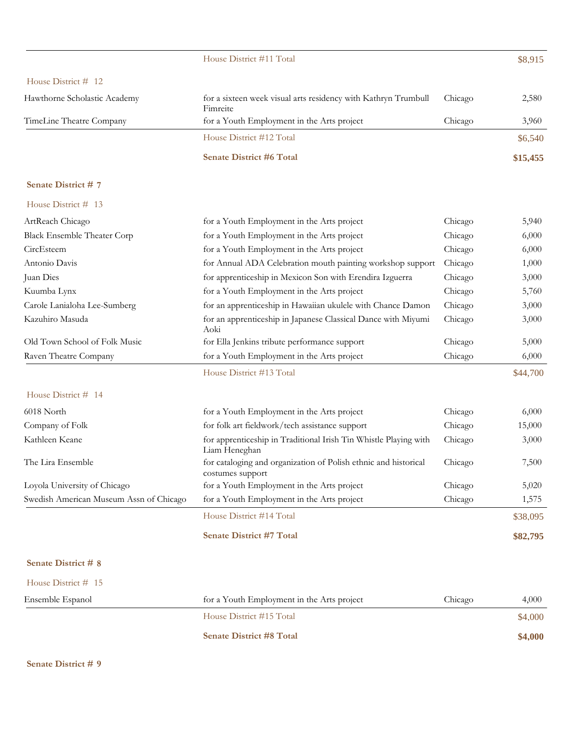# House District #11 Total \$8,915

#### House District # 12

| Hawthorne Scholastic Academy | for a sixteen week visual arts residency with Kathryn Trumbull<br>Fimreite | Chicago | 2,580    |
|------------------------------|----------------------------------------------------------------------------|---------|----------|
| TimeLine Theatre Company     | for a Youth Employment in the Arts project                                 | Chicago | 3,960    |
|                              | House District #12 Total                                                   |         | \$6,540  |
|                              | <b>Senate District #6 Total</b>                                            |         | \$15,455 |

#### **Senate District # 7**

| House District # 13                     |                                                                                     |         |          |
|-----------------------------------------|-------------------------------------------------------------------------------------|---------|----------|
| ArtReach Chicago                        | for a Youth Employment in the Arts project                                          | Chicago | 5,940    |
| <b>Black Ensemble Theater Corp</b>      | for a Youth Employment in the Arts project                                          | Chicago | 6,000    |
| CircEsteem                              | for a Youth Employment in the Arts project                                          | Chicago | 6,000    |
| Antonio Davis                           | for Annual ADA Celebration mouth painting workshop support                          | Chicago | 1,000    |
| Juan Dies                               | for apprenticeship in Mexicon Son with Erendira Izguerra                            | Chicago | 3,000    |
| Kuumba Lynx                             | for a Youth Employment in the Arts project                                          | Chicago | 5,760    |
| Carole Lanialoha Lee-Sumberg            | for an apprenticeship in Hawaiian ukulele with Chance Damon                         | Chicago | 3,000    |
| Kazuhiro Masuda                         | for an apprenticeship in Japanese Classical Dance with Miyumi<br>Aoki               | Chicago | 3,000    |
| Old Town School of Folk Music           | for Ella Jenkins tribute performance support                                        | Chicago | 5,000    |
| Raven Theatre Company                   | for a Youth Employment in the Arts project                                          | Chicago | 6,000    |
|                                         | House District #13 Total                                                            |         | \$44,700 |
| House District # 14                     |                                                                                     |         |          |
| 6018 North                              | for a Youth Employment in the Arts project                                          | Chicago | 6,000    |
| Company of Folk                         | for folk art fieldwork/tech assistance support                                      | Chicago | 15,000   |
| Kathleen Keane                          | for apprenticeship in Traditional Irish Tin Whistle Playing with<br>Liam Heneghan   | Chicago | 3,000    |
| The Lira Ensemble                       | for cataloging and organization of Polish ethnic and historical<br>costumes support | Chicago | 7,500    |
| Loyola University of Chicago            | for a Youth Employment in the Arts project                                          | Chicago | 5,020    |
| Swedish American Museum Assn of Chicago | for a Youth Employment in the Arts project                                          | Chicago | 1,575    |
|                                         | House District #14 Total                                                            |         | \$38,095 |
|                                         | <b>Senate District #7 Total</b>                                                     |         | \$82,795 |

# **Senate District # 8**

| House District # 15 |                                            |         |         |
|---------------------|--------------------------------------------|---------|---------|
| Ensemble Espanol    | for a Youth Employment in the Arts project | Chicago | 4,000   |
|                     | House District #15 Total                   |         | \$4,000 |
|                     | <b>Senate District #8 Total</b>            |         | \$4,000 |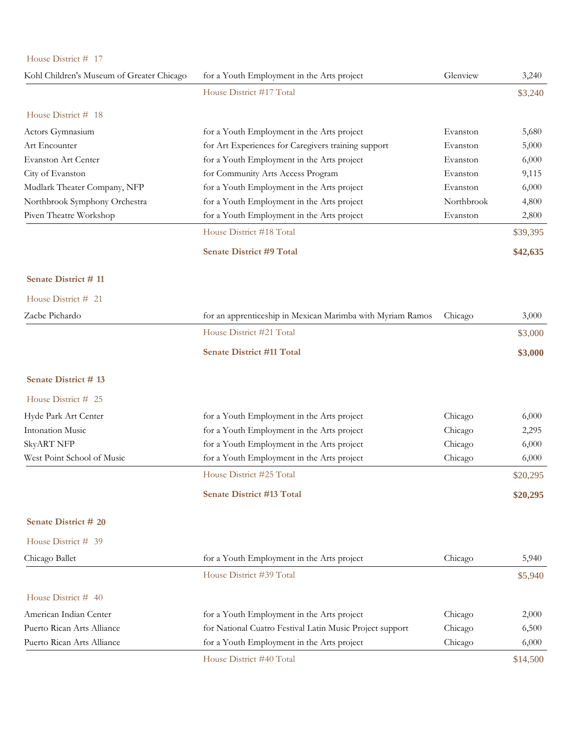| House District # 17                       |                                                            |            |          |
|-------------------------------------------|------------------------------------------------------------|------------|----------|
| Kohl Children's Museum of Greater Chicago | for a Youth Employment in the Arts project                 | Glenview   | 3,240    |
|                                           | House District #17 Total                                   |            | \$3,240  |
| House District # 18                       |                                                            |            |          |
| Actors Gymnasium                          | for a Youth Employment in the Arts project                 | Evanston   | 5,680    |
| Art Encounter                             | for Art Experiences for Caregivers training support        | Evanston   | 5,000    |
| <b>Evanston Art Center</b>                | for a Youth Employment in the Arts project                 | Evanston   | 6,000    |
| City of Evanston                          | for Community Arts Access Program                          | Evanston   | 9,115    |
| Mudlark Theater Company, NFP              | for a Youth Employment in the Arts project                 | Evanston   | 6,000    |
| Northbrook Symphony Orchestra             | for a Youth Employment in the Arts project                 | Northbrook | 4,800    |
| Piven Theatre Workshop                    | for a Youth Employment in the Arts project                 | Evanston   | 2,800    |
|                                           | House District #18 Total                                   |            | \$39,395 |
|                                           | <b>Senate District #9 Total</b>                            |            | \$42,635 |
| Senate District #11                       |                                                            |            |          |
| House District # 21                       |                                                            |            |          |
| Zacbe Pichardo                            | for an apprenticeship in Mexican Marimba with Myriam Ramos | Chicago    | 3,000    |
|                                           | House District #21 Total                                   |            | \$3,000  |
|                                           | <b>Senate District #11 Total</b>                           |            | \$3,000  |
| Senate District #13                       |                                                            |            |          |
| House District # 25                       |                                                            |            |          |
| Hyde Park Art Center                      | for a Youth Employment in the Arts project                 | Chicago    | 6,000    |
| <b>Intonation Music</b>                   | for a Youth Employment in the Arts project                 | Chicago    | 2,295    |
| <b>SkyART NFP</b>                         | for a Youth Employment in the Arts project                 | Chicago    | 6,000    |
| West Point School of Music                | for a Youth Employment in the Arts project                 | Chicago    | 6,000    |
|                                           | House District #25 Total                                   |            | \$20,295 |
|                                           | <b>Senate District #13 Total</b>                           |            | \$20,295 |
| <b>Senate District # 20</b>               |                                                            |            |          |
| House District # 39                       |                                                            |            |          |
| Chicago Ballet                            | for a Youth Employment in the Arts project                 | Chicago    | 5,940    |
|                                           | House District #39 Total                                   |            | \$5,940  |
| House District # 40                       |                                                            |            |          |
| American Indian Center                    | for a Youth Employment in the Arts project                 | Chicago    | 2,000    |
| Puerto Rican Arts Alliance                | for National Cuatro Festival Latin Music Project support   | Chicago    | 6,500    |
| Puerto Rican Arts Alliance                | for a Youth Employment in the Arts project                 | Chicago    | 6,000    |
|                                           | House District #40 Total                                   |            | \$14,500 |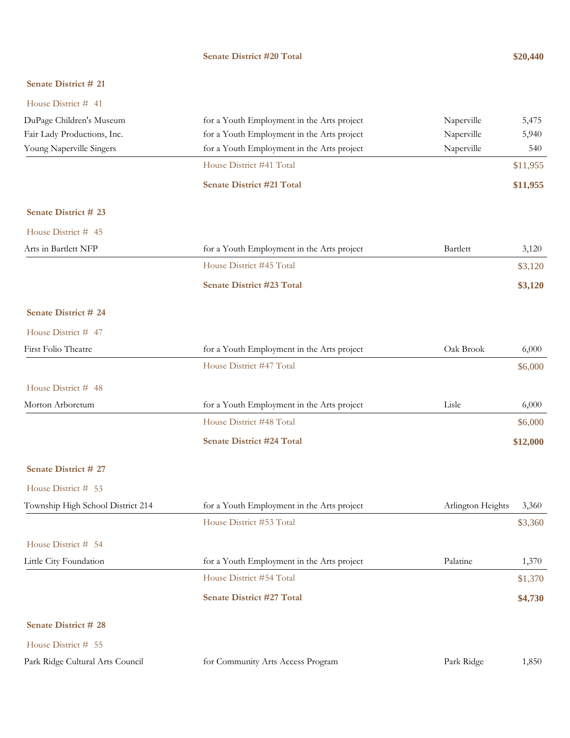# **Senate District #20 Total \$20,440**

#### **Senate District # 21**

| House District # 41               |                                            |                   |          |
|-----------------------------------|--------------------------------------------|-------------------|----------|
| DuPage Children's Museum          | for a Youth Employment in the Arts project | Naperville        | 5,475    |
| Fair Lady Productions, Inc.       | for a Youth Employment in the Arts project | Naperville        | 5,940    |
| Young Naperville Singers          | for a Youth Employment in the Arts project | Naperville        | 540      |
|                                   | House District #41 Total                   |                   | \$11,955 |
|                                   | <b>Senate District #21 Total</b>           |                   | \$11,955 |
| Senate District # 23              |                                            |                   |          |
| House District # 45               |                                            |                   |          |
| Arts in Bartlett NFP              | for a Youth Employment in the Arts project | Bartlett          | 3,120    |
|                                   | House District #45 Total                   |                   | \$3,120  |
|                                   | <b>Senate District #23 Total</b>           |                   | \$3,120  |
| Senate District # 24              |                                            |                   |          |
| House District # 47               |                                            |                   |          |
| First Folio Theatre               | for a Youth Employment in the Arts project | Oak Brook         | 6,000    |
|                                   | House District #47 Total                   |                   | \$6,000  |
| House District # 48               |                                            |                   |          |
| Morton Arboretum                  | for a Youth Employment in the Arts project | Lisle             | 6,000    |
|                                   | House District #48 Total                   |                   | \$6,000  |
|                                   | <b>Senate District #24 Total</b>           |                   | \$12,000 |
| Senate District # 27              |                                            |                   |          |
| House District # 53               |                                            |                   |          |
| Township High School District 214 | for a Youth Employment in the Arts project | Arlington Heights | 3,360    |
|                                   | House District #53 Total                   |                   | \$3,360  |
| House District # 54               |                                            |                   |          |
| Little City Foundation            | for a Youth Employment in the Arts project | Palatine          | 1,370    |
|                                   | House District #54 Total                   |                   | \$1,370  |
|                                   | Senate District #27 Total                  |                   | \$4,730  |
| Senate District # 28              |                                            |                   |          |
| House District # 55               |                                            |                   |          |
| Park Ridge Cultural Arts Council  | for Community Arts Access Program          | Park Ridge        | 1,850    |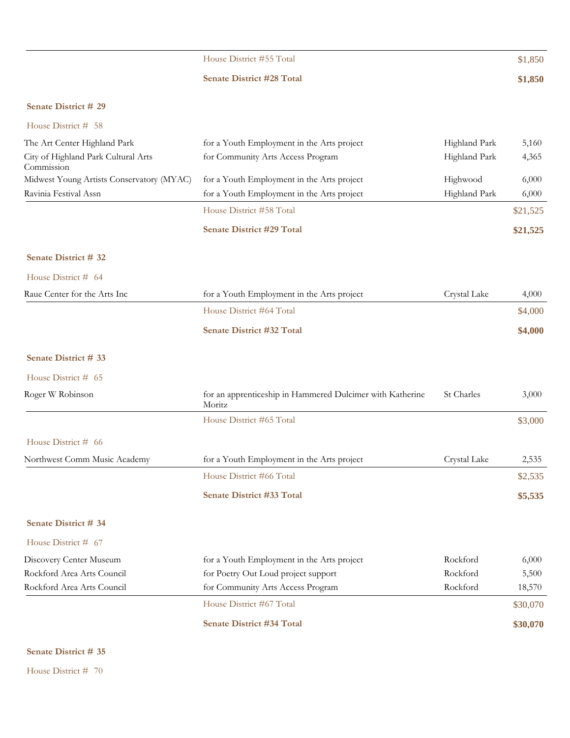|                                                   | House District #55 Total                                            |               | \$1,850  |
|---------------------------------------------------|---------------------------------------------------------------------|---------------|----------|
|                                                   | <b>Senate District #28 Total</b>                                    |               | \$1,850  |
|                                                   |                                                                     |               |          |
| <b>Senate District #29</b>                        |                                                                     |               |          |
| House District # 58                               |                                                                     |               |          |
| The Art Center Highland Park                      | for a Youth Employment in the Arts project                          | Highland Park | 5,160    |
| City of Highland Park Cultural Arts<br>Commission | for Community Arts Access Program                                   | Highland Park | 4,365    |
| Midwest Young Artists Conservatory (MYAC)         | for a Youth Employment in the Arts project                          | Highwood      | 6,000    |
| Ravinia Festival Assn                             | for a Youth Employment in the Arts project                          | Highland Park | 6,000    |
|                                                   | House District #58 Total                                            |               | \$21,525 |
|                                                   | <b>Senate District #29 Total</b>                                    |               | \$21,525 |
| Senate District # 32                              |                                                                     |               |          |
| House District # 64                               |                                                                     |               |          |
| Raue Center for the Arts Inc                      | for a Youth Employment in the Arts project                          | Crystal Lake  | 4,000    |
|                                                   | House District #64 Total                                            |               | \$4,000  |
|                                                   | Senate District #32 Total                                           |               | \$4,000  |
| Senate District # 33                              |                                                                     |               |          |
| House District # 65                               |                                                                     |               |          |
| Roger W Robinson                                  | for an apprenticeship in Hammered Dulcimer with Katherine<br>Moritz | St Charles    | 3,000    |
|                                                   | House District #65 Total                                            |               | \$3,000  |
| House District # 66                               |                                                                     |               |          |
| Northwest Comm Music Academy                      | for a Youth Employment in the Arts project                          | Crystal Lake  | 2,535    |
|                                                   | House District #66 Total                                            |               | \$2,535  |
|                                                   | Senate District #33 Total                                           |               | \$5,535  |
| Senate District # 34                              |                                                                     |               |          |
| House District # 67                               |                                                                     |               |          |
| Discovery Center Museum                           | for a Youth Employment in the Arts project                          | Rockford      | 6,000    |
| Rockford Area Arts Council                        | for Poetry Out Loud project support                                 | Rockford      | 5,500    |
| Rockford Area Arts Council                        | for Community Arts Access Program                                   | Rockford      | 18,570   |
|                                                   | House District #67 Total                                            |               | \$30,070 |
|                                                   | Senate District #34 Total                                           |               | \$30,070 |

**Senate District # 35**

House District # 70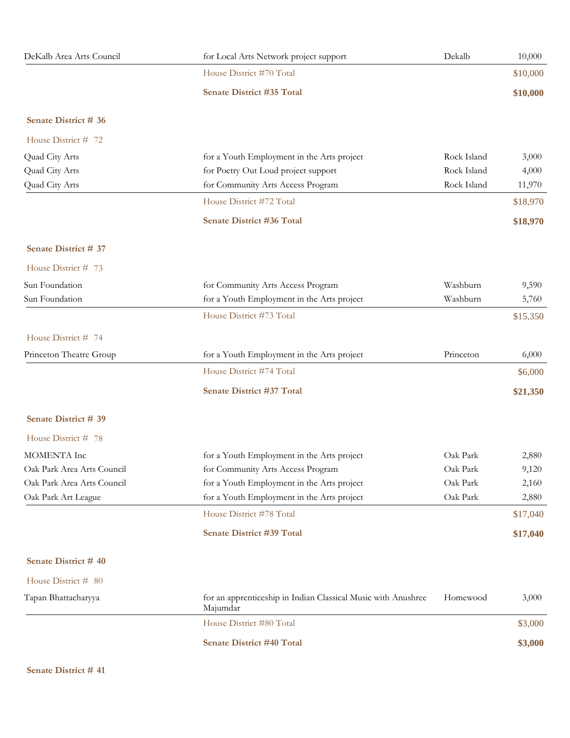| DeKalb Area Arts Council   | for Local Arts Network project support                                    | Dekalb      | 10,000   |
|----------------------------|---------------------------------------------------------------------------|-------------|----------|
|                            | House District #70 Total                                                  |             | \$10,000 |
|                            | <b>Senate District #35 Total</b>                                          |             | \$10,000 |
| Senate District # 36       |                                                                           |             |          |
| House District # 72        |                                                                           |             |          |
| Quad City Arts             | for a Youth Employment in the Arts project                                | Rock Island | 3,000    |
| Quad City Arts             | for Poetry Out Loud project support                                       | Rock Island | 4,000    |
| Quad City Arts             | for Community Arts Access Program                                         | Rock Island | 11,970   |
|                            | House District #72 Total                                                  |             | \$18,970 |
|                            | <b>Senate District #36 Total</b>                                          |             | \$18,970 |
| Senate District # 37       |                                                                           |             |          |
| House District # 73        |                                                                           |             |          |
| Sun Foundation             | for Community Arts Access Program                                         | Washburn    | 9,590    |
| Sun Foundation             | for a Youth Employment in the Arts project                                | Washburn    | 5,760    |
|                            | House District #73 Total                                                  |             | \$15,350 |
| House District # 74        |                                                                           |             |          |
| Princeton Theatre Group    | for a Youth Employment in the Arts project                                | Princeton   | 6,000    |
|                            | House District #74 Total                                                  |             | \$6,000  |
|                            | Senate District #37 Total                                                 |             | \$21,350 |
| Senate District # 39       |                                                                           |             |          |
| House District # 78        |                                                                           |             |          |
| MOMENTA Inc                | for a Youth Employment in the Arts project                                | Oak Park    | 2,880    |
| Oak Park Area Arts Council | for Community Arts Access Program                                         | Oak Park    | 9,120    |
| Oak Park Area Arts Council | for a Youth Employment in the Arts project                                | Oak Park    | 2,160    |
| Oak Park Art League        | for a Youth Employment in the Arts project                                | Oak Park    | 2,880    |
|                            | House District #78 Total                                                  |             | \$17,040 |
|                            | Senate District #39 Total                                                 |             | \$17,040 |
| Senate District #40        |                                                                           |             |          |
| House District # 80        |                                                                           |             |          |
| Tapan Bhattacharyya        | for an apprenticeship in Indian Classical Music with Anushree<br>Majumdar | Homewood    | 3,000    |
|                            | House District #80 Total                                                  |             | \$3,000  |
|                            | Senate District #40 Total                                                 |             | \$3,000  |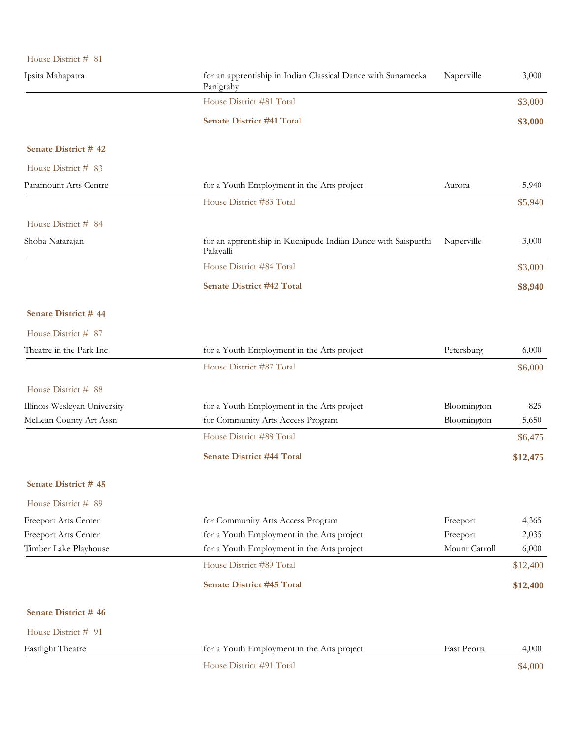| House District # 81          |                                                                            |               |          |
|------------------------------|----------------------------------------------------------------------------|---------------|----------|
| Ipsita Mahapatra             | for an apprentiship in Indian Classical Dance with Sunameeka<br>Panigrahy  | Naperville    | 3,000    |
|                              | House District #81 Total                                                   |               | \$3,000  |
|                              | <b>Senate District #41 Total</b>                                           |               | \$3,000  |
| Senate District #42          |                                                                            |               |          |
| House District # 83          |                                                                            |               |          |
| Paramount Arts Centre        | for a Youth Employment in the Arts project                                 | Aurora        | 5,940    |
|                              | House District #83 Total                                                   |               | \$5,940  |
| House District # 84          |                                                                            |               |          |
| Shoba Natarajan              | for an apprentiship in Kuchipude Indian Dance with Saispurthi<br>Palavalli | Naperville    | 3,000    |
|                              | House District #84 Total                                                   |               | \$3,000  |
|                              | <b>Senate District #42 Total</b>                                           |               | \$8,940  |
| Senate District #44          |                                                                            |               |          |
| House District # 87          |                                                                            |               |          |
| Theatre in the Park Inc      | for a Youth Employment in the Arts project                                 | Petersburg    | 6,000    |
|                              | House District #87 Total                                                   |               | \$6,000  |
| House District # 88          |                                                                            |               |          |
| Illinois Wesleyan University | for a Youth Employment in the Arts project                                 | Bloomington   | 825      |
| McLean County Art Assn       | for Community Arts Access Program                                          | Bloomington   | 5,650    |
|                              | House District #88 Total                                                   |               | \$6,475  |
|                              | <b>Senate District #44 Total</b>                                           |               | \$12,475 |
| Senate District #45          |                                                                            |               |          |
| House District # 89          |                                                                            |               |          |
| Freeport Arts Center         | for Community Arts Access Program                                          | Freeport      | 4,365    |
| Freeport Arts Center         | for a Youth Employment in the Arts project                                 | Freeport      | 2,035    |
| Timber Lake Playhouse        | for a Youth Employment in the Arts project                                 | Mount Carroll | 6,000    |
|                              | House District #89 Total                                                   |               | \$12,400 |
|                              | <b>Senate District #45 Total</b>                                           |               | \$12,400 |
| Senate District #46          |                                                                            |               |          |
| House District # 91          |                                                                            |               |          |
| <b>Eastlight Theatre</b>     | for a Youth Employment in the Arts project                                 | East Peoria   | 4,000    |
|                              | House District #91 Total                                                   |               | \$4,000  |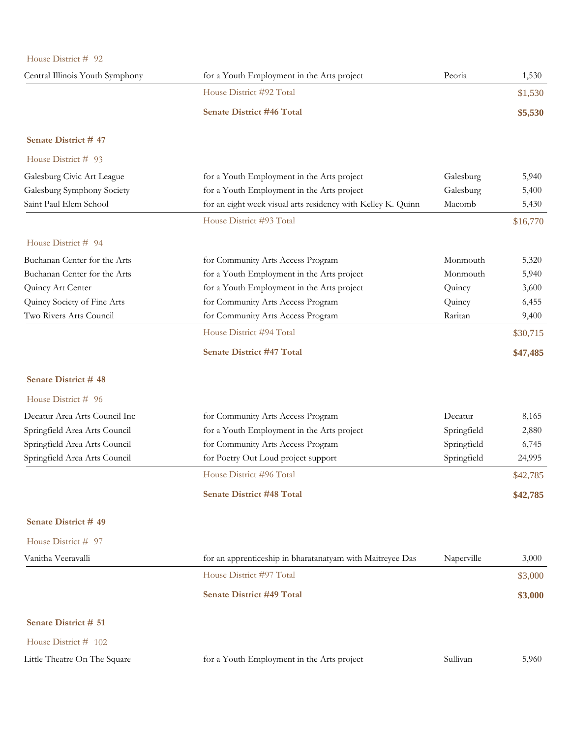| House District # 92             |                                                              |             |          |
|---------------------------------|--------------------------------------------------------------|-------------|----------|
| Central Illinois Youth Symphony | for a Youth Employment in the Arts project                   | Peoria      | 1,530    |
|                                 | House District #92 Total                                     |             | \$1,530  |
|                                 | <b>Senate District #46 Total</b>                             |             | \$5,530  |
| Senate District #47             |                                                              |             |          |
| House District # 93             |                                                              |             |          |
| Galesburg Civic Art League      | for a Youth Employment in the Arts project                   | Galesburg   | 5,940    |
| Galesburg Symphony Society      | for a Youth Employment in the Arts project                   | Galesburg   | 5,400    |
| Saint Paul Elem School          | for an eight week visual arts residency with Kelley K. Quinn | Macomb      | 5,430    |
|                                 | House District #93 Total                                     |             | \$16,770 |
| House District # 94             |                                                              |             |          |
| Buchanan Center for the Arts    | for Community Arts Access Program                            | Monmouth    | 5,320    |
| Buchanan Center for the Arts    | for a Youth Employment in the Arts project                   | Monmouth    | 5,940    |
| Quincy Art Center               | for a Youth Employment in the Arts project                   | Quincy      | 3,600    |
| Quincy Society of Fine Arts     | for Community Arts Access Program                            | Quincy      | 6,455    |
| Two Rivers Arts Council         | for Community Arts Access Program                            | Raritan     | 9,400    |
|                                 | House District #94 Total                                     |             | \$30,715 |
|                                 | <b>Senate District #47 Total</b>                             |             | \$47,485 |
| <b>Senate District #48</b>      |                                                              |             |          |
| House District # 96             |                                                              |             |          |
| Decatur Area Arts Council Inc   | for Community Arts Access Program                            | Decatur     | 8,165    |
| Springfield Area Arts Council   | for a Youth Employment in the Arts project                   | Springfield | 2,880    |
| Springfield Area Arts Council   | for Community Arts Access Program                            | Springfield | 6,745    |
| Springfield Area Arts Council   | for Poetry Out Loud project support                          | Springfield | 24,995   |
|                                 | House District #96 Total                                     |             | \$42,785 |
|                                 | <b>Senate District #48 Total</b>                             |             | \$42,785 |
| Senate District #49             |                                                              |             |          |
| House District # 97             |                                                              |             |          |
| Vanitha Veeravalli              | for an apprenticeship in bharatanatyam with Maitreyee Das    | Naperville  | 3,000    |
|                                 | House District #97 Total                                     |             | \$3,000  |
|                                 | <b>Senate District #49 Total</b>                             |             | \$3,000  |
| Senate District # 51            |                                                              |             |          |
|                                 |                                                              |             |          |
| House District # 102            |                                                              |             |          |
| Little Theatre On The Square    | for a Youth Employment in the Arts project                   | Sullivan    | 5,960    |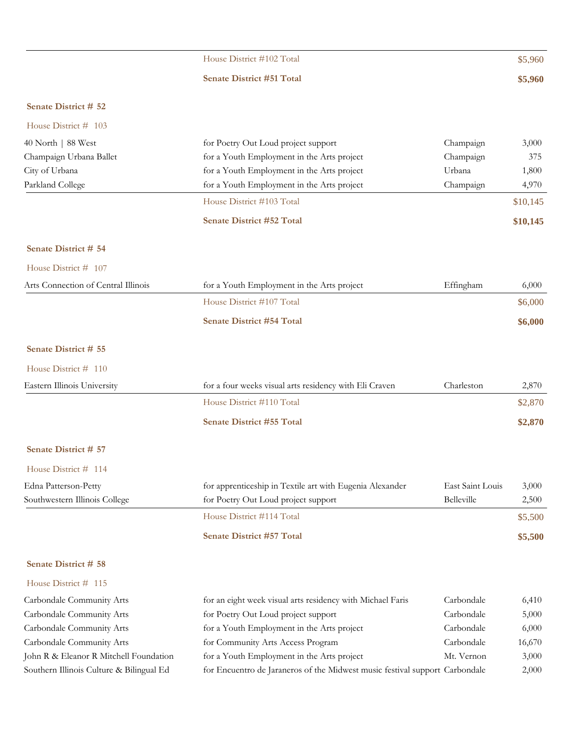|                                     | House District #102 Total                                |                  | \$5,960  |
|-------------------------------------|----------------------------------------------------------|------------------|----------|
|                                     | <b>Senate District #51 Total</b>                         |                  | \$5,960  |
| Senate District # 52                |                                                          |                  |          |
| House District # 103                |                                                          |                  |          |
| 40 North   88 West                  | for Poetry Out Loud project support                      | Champaign        | 3,000    |
| Champaign Urbana Ballet             | for a Youth Employment in the Arts project               | Champaign        | 375      |
| City of Urbana                      | for a Youth Employment in the Arts project               | Urbana           | 1,800    |
| Parkland College                    | for a Youth Employment in the Arts project               | Champaign        | 4,970    |
|                                     | House District #103 Total                                |                  | \$10,145 |
|                                     | <b>Senate District #52 Total</b>                         |                  | \$10,145 |
| Senate District # 54                |                                                          |                  |          |
| House District # 107                |                                                          |                  |          |
| Arts Connection of Central Illinois | for a Youth Employment in the Arts project               | Effingham        | 6,000    |
|                                     | House District #107 Total                                |                  | \$6,000  |
|                                     | <b>Senate District #54 Total</b>                         |                  | \$6,000  |
| Senate District # 55                |                                                          |                  |          |
| House District # 110                |                                                          |                  |          |
| Eastern Illinois University         | for a four weeks visual arts residency with Eli Craven   | Charleston       | 2,870    |
|                                     | House District #110 Total                                |                  | \$2,870  |
|                                     | <b>Senate District #55 Total</b>                         |                  | \$2,870  |
| Senate District # 57                |                                                          |                  |          |
| House District # 114                |                                                          |                  |          |
| Edna Patterson-Petty                | for apprenticeship in Textile art with Eugenia Alexander | East Saint Louis | 3,000    |
| Southwestern Illinois College       | for Poetry Out Loud project support                      | Belleville       | 2,500    |
|                                     | House District #114 Total                                |                  | \$5,500  |
|                                     | Senate District #57 Total                                |                  | \$5,500  |
| Senate District # 58                |                                                          |                  |          |
| House District # 115                |                                                          |                  |          |

| Carbondale Community Arts                | for an eight week visual arts residency with Michael Faris                  | Carbondale | 6,410  |
|------------------------------------------|-----------------------------------------------------------------------------|------------|--------|
| Carbondale Community Arts                | for Poetry Out Loud project support                                         | Carbondale | 5,000  |
| Carbondale Community Arts                | for a Youth Employment in the Arts project                                  | Carbondale | 6,000  |
| Carbondale Community Arts                | for Community Arts Access Program                                           | Carbondale | 16,670 |
| John R & Eleanor R Mitchell Foundation   | for a Youth Employment in the Arts project                                  | Mt. Vernon | 3,000  |
| Southern Illinois Culture & Bilingual Ed | for Encuentro de Jaraneros of the Midwest music festival support Carbondale |            | 2,000  |